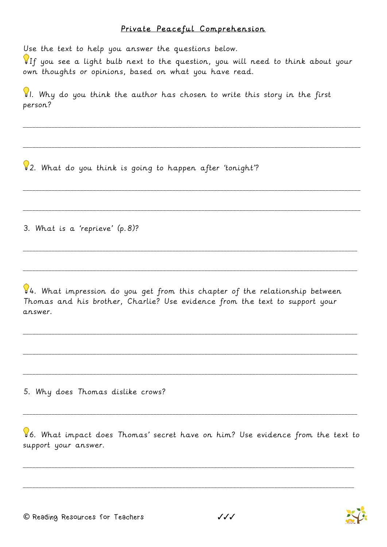## Private Peaceful Comprehension

Use the text to help you answer the questions below.

 $\P$ If you see a light bulb next to the question, you will need to think about your own thoughts or opinions, based on what you have read.

\_\_\_\_\_\_\_\_\_\_\_\_\_\_\_\_\_\_\_\_\_\_\_\_\_\_\_\_\_\_\_\_\_\_\_\_\_\_\_\_\_\_\_\_\_\_\_\_\_\_\_\_\_\_\_\_\_\_\_\_\_\_\_\_\_\_\_\_\_\_\_\_\_\_\_\_\_\_\_\_\_\_\_\_\_\_\_\_\_\_\_\_\_\_\_\_\_\_\_\_\_\_\_\_\_\_

\_\_\_\_\_\_\_\_\_\_\_\_\_\_\_\_\_\_\_\_\_\_\_\_\_\_\_\_\_\_\_\_\_\_\_\_\_\_\_\_\_\_\_\_\_\_\_\_\_\_\_\_\_\_\_\_\_\_\_\_\_\_\_\_\_\_\_\_\_\_\_\_\_\_\_\_\_\_\_\_\_\_\_\_\_\_\_\_\_\_\_\_\_\_\_\_\_\_\_\_\_\_\_\_\_\_

\_\_\_\_\_\_\_\_\_\_\_\_\_\_\_\_\_\_\_\_\_\_\_\_\_\_\_\_\_\_\_\_\_\_\_\_\_\_\_\_\_\_\_\_\_\_\_\_\_\_\_\_\_\_\_\_\_\_\_\_\_\_\_\_\_\_\_\_\_\_\_\_\_\_\_\_\_\_\_\_\_\_\_\_\_\_\_\_\_\_\_\_\_\_\_\_\_\_\_\_\_\_\_\_\_\_

\_\_\_\_\_\_\_\_\_\_\_\_\_\_\_\_\_\_\_\_\_\_\_\_\_\_\_\_\_\_\_\_\_\_\_\_\_\_\_\_\_\_\_\_\_\_\_\_\_\_\_\_\_\_\_\_\_\_\_\_\_\_\_\_\_\_\_\_\_\_\_\_\_\_\_\_\_\_\_\_\_\_\_\_\_\_\_\_\_\_\_\_\_\_\_\_\_\_\_\_\_\_\_\_\_\_

\_\_\_\_\_\_\_\_\_\_\_\_\_\_\_\_\_\_\_\_\_\_\_\_\_\_\_\_\_\_\_\_\_\_\_\_\_\_\_\_\_\_\_\_\_\_\_\_\_\_\_\_\_\_\_\_\_\_\_\_\_\_\_\_\_\_\_\_\_\_\_\_\_\_\_\_\_\_\_\_\_\_\_\_\_\_\_\_\_\_\_\_\_\_\_\_\_\_\_\_\_\_\_\_\_

\_\_\_\_\_\_\_\_\_\_\_\_\_\_\_\_\_\_\_\_\_\_\_\_\_\_\_\_\_\_\_\_\_\_\_\_\_\_\_\_\_\_\_\_\_\_\_\_\_\_\_\_\_\_\_\_\_\_\_\_\_\_\_\_\_\_\_\_\_\_\_\_\_\_\_\_\_\_\_\_\_\_\_\_\_\_\_\_\_\_\_\_\_\_\_\_\_\_\_\_\_\_\_\_\_

\_\_\_\_\_\_\_\_\_\_\_\_\_\_\_\_\_\_\_\_\_\_\_\_\_\_\_\_\_\_\_\_\_\_\_\_\_\_\_\_\_\_\_\_\_\_\_\_\_\_\_\_\_\_\_\_\_\_\_\_\_\_\_\_\_\_\_\_\_\_\_\_\_\_\_\_\_\_\_\_\_\_\_\_\_\_\_\_\_\_\_\_\_\_\_\_\_\_\_\_\_\_\_\_\_

\_\_\_\_\_\_\_\_\_\_\_\_\_\_\_\_\_\_\_\_\_\_\_\_\_\_\_\_\_\_\_\_\_\_\_\_\_\_\_\_\_\_\_\_\_\_\_\_\_\_\_\_\_\_\_\_\_\_\_\_\_\_\_\_\_\_\_\_\_\_\_\_\_\_\_\_\_\_\_\_\_\_\_\_\_\_\_\_\_\_\_\_\_\_\_\_\_\_\_\_\_\_\_\_\_

\_\_\_\_\_\_\_\_\_\_\_\_\_\_\_\_\_\_\_\_\_\_\_\_\_\_\_\_\_\_\_\_\_\_\_\_\_\_\_\_\_\_\_\_\_\_\_\_\_\_\_\_\_\_\_\_\_\_\_\_\_\_\_\_\_\_\_\_\_\_\_\_\_\_\_\_\_\_\_\_\_\_\_\_\_\_\_\_\_\_\_\_\_\_\_\_\_\_\_\_\_\_\_\_\_

 $\mathcal{G}$ . Why do you think the author has chosen to write this story in the first person?

2. What do you think is going to happen after 'tonight'?

3. What is a 'reprieve' (p.8)?

 $94.$  What impression do you get from this chapter of the relationship between Thomas and his brother, Charlie? Use evidence from the text to support your answer.

5. Why does Thomas dislike crows?

6. What impact does Thomas' secret have on him? Use evidence from the text to support your answer.

\_\_\_\_\_\_\_\_\_\_\_\_\_\_\_\_\_\_\_\_\_\_\_\_\_\_\_\_\_\_\_\_\_\_\_\_\_\_\_\_\_\_\_\_\_\_\_\_\_\_\_\_\_\_\_\_\_\_\_\_\_\_\_\_\_\_\_\_\_\_\_\_\_\_\_\_\_\_\_\_\_\_\_\_\_\_\_\_\_\_\_\_\_\_\_\_\_\_\_\_\_\_\_\_

\_\_\_\_\_\_\_\_\_\_\_\_\_\_\_\_\_\_\_\_\_\_\_\_\_\_\_\_\_\_\_\_\_\_\_\_\_\_\_\_\_\_\_\_\_\_\_\_\_\_\_\_\_\_\_\_\_\_\_\_\_\_\_\_\_\_\_\_\_\_\_\_\_\_\_\_\_\_\_\_\_\_\_\_\_\_\_\_\_\_\_\_\_\_\_\_\_\_\_\_\_\_\_\_

\_\_\_\_\_\_\_\_\_\_\_\_\_\_\_\_\_\_\_\_\_\_\_\_\_\_\_\_\_\_\_\_\_\_\_\_\_\_\_\_\_\_\_\_\_\_\_\_\_\_\_\_\_\_\_\_\_\_\_\_\_\_\_\_\_\_\_\_\_\_\_\_\_\_\_\_\_\_\_\_\_\_\_\_\_\_\_\_\_\_\_\_\_\_\_\_\_\_\_\_\_\_\_\_\_